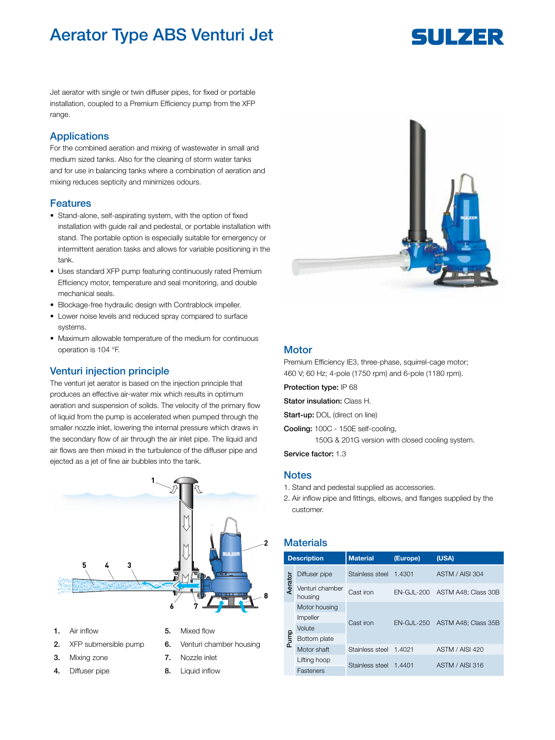# Aerator Type ABS Venturi Jet

# SULZER

Jet aerator with single or twin diffuser pipes, for fixed or portable installation, coupled to a Premium Efficiency pump from the XFP range.

## Applications

For the combined aeration and mixing of wastewater in small and medium sized tanks. Also for the cleaning of storm water tanks and for use in balancing tanks where a combination of aeration and mixing reduces septicity and minimizes odours.

### Features

- Stand-alone, self-aspirating system, with the option of fixed installation with guide rail and pedestal, or portable installation with stand. The portable option is especially suitable for emergency or intermittent aeration tasks and allows for variable positioning in the tank.
- Uses standard XFP pump featuring continuously rated Premium Efficiency motor, temperature and seal monitoring, and double mechanical seals.
- Blockage-free hydraulic design with Contrablock impeller.
- Lower noise levels and reduced spray compared to surface systems.
- Maximum allowable temperature of the medium for continuous operation is 104 °F.

#### Venturi injection principle

The venturi jet aerator is based on the injection principle that produces an effective air-water mix which results in optimum aeration and suspension of solids. The velocity of the primary flow of liquid from the pump is accelerated when pumped through the smaller nozzle inlet, lowering the internal pressure which draws in the secondary flow of air through the air inlet pipe. The liquid and air flows are then mixed in the turbulence of the diffuser pipe and ejected as a jet of fine air bubbles into the tank.



- 1. Air inflow 5. Mixed flow
- 
- 
- 4. Diffuser pipe **8.** Liquid inflow
- 
- 2. XFP submersible pump 6. Venturi chamber housing
- 3. Mixing zone 7. Nozzle inlet
	-



### **Motor**

Premium Efficiency IE3, three-phase, squirrel-cage motor; 460 V; 60 Hz; 4-pole (1750 rpm) and 6-pole (1180 rpm).

Protection type: IP 68

Stator insulation: Class H.

Start-up: DOL (direct on line)

Cooling: 100C - 150E self-cooling,

150G & 201G version with closed cooling system.

Service factor: 1.3

#### **Notes**

- 1. Stand and pedestal supplied as accessories.
- 2. Air inflow pipe and fittings, elbows, and flanges supplied by the customer.

# **Materials**

|         | <b>Description</b>         | <b>Material</b> | (Europe)          | (USA)               |  |
|---------|----------------------------|-----------------|-------------------|---------------------|--|
|         | Diffuser pipe              | Stainless steel | 1.4301            | ASTM / AISI 304     |  |
| Aerator | Venturi chamber<br>housing | Cast iron       | EN-GJL-200        | ASTM A48: Class 30B |  |
|         | Motor housing              |                 | <b>EN-GJL-250</b> |                     |  |
|         | Impeller                   | Cast iron       |                   | ASTM A48: Class 35B |  |
|         | Volute                     |                 |                   |                     |  |
| Pump    | Bottom plate               |                 |                   |                     |  |
|         | Motor shaft                | Stainless steel | 1.4021            | ASTM / AISI 420     |  |
|         | Lifting hoop               | Stainless steel | 1.4401            | ASTM / AISI 316     |  |
|         | Fasteners                  |                 |                   |                     |  |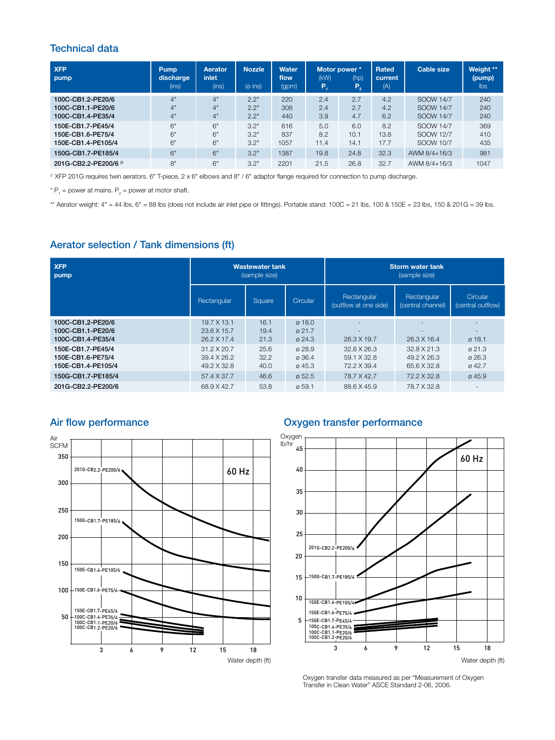# Technical data

| <b>XFP</b><br>pump                                           | Pump<br>discharge<br>(ins) | Aerator<br>inlet<br>(ins) | <b>Nozzle</b><br>$(0$ ins) | <b>Water</b><br>flow<br>(gpm) | Motor power *<br>(kW)<br>P. | (hp)<br>$P_{2}$     | Rated<br>current<br>(A) | <b>Cable size</b>                   | Weight **<br>(pump)<br><b>lbs</b> |
|--------------------------------------------------------------|----------------------------|---------------------------|----------------------------|-------------------------------|-----------------------------|---------------------|-------------------------|-------------------------------------|-----------------------------------|
| 100C-CB1.2-PE20/6<br>100C-CB1.1-PE20/6<br>100C-CB1.4-PE35/4  | 4"<br>4"<br>4"             | 4"<br>4"<br>4"            | 2.2"<br>2.2"<br>2.2"       | 220<br>308<br>440             | 2.4<br>2.4<br>3.9           | 2.7<br>2.7<br>4.7   | 4.2<br>4.2<br>6.2       | SOOW 14/7<br>SOOW 14/7<br>SOOW 14/7 | 240<br>240<br>240                 |
| 150E-CB1.7-PE45/4<br>150E-CB1.6-PE75/4<br>150E-CB1.4-PE105/4 | 6"<br>6"<br>6"             | 6"<br>6"<br>6"            | 3.2"<br>3.2"<br>3.2"       | 616<br>837<br>1057            | 5.0<br>8.2<br>11.4          | 6.0<br>10.1<br>14.1 | 8.2<br>13.8<br>17.7     | SOOW 14/7<br>SOOW 12/7<br>SOOW 10/7 | 369<br>410<br>435                 |
| 150G-CB1.7-PE185/4                                           | 6"                         | 6"                        | 3.2"                       | 1387                          | 19.8                        | 24.8                | 32.3                    | AWM $8/4 + 16/3$                    | 981                               |
| 201G-CB2.2-PE200/6 <sup>(1</sup>                             | 8"                         | 6"                        | 3.2"                       | 2201                          | 21.5                        | 26.8                | 32.7                    | AWM 8/4+16/3                        | 1047                              |

(1 XFP 201G requires twin aerators. 6" T-piece, 2 x 6" elbows and 8" / 6" adaptor flange required for connection to pump discharge.

 $* P_1$  = power at mains.  $P_2$  = power at motor shaft.

\*\* Aerator weight:  $4" = 44$  lbs,  $6" = 88$  lbs (does not include air inlet pipe or fittings). Portable stand:  $100C = 21$  lbs,  $100$  &  $150E = 23$  lbs,  $150$  &  $201G = 39$  lbs.

## Aerator selection / Tank dimensions (ft)

| <b>XFP</b>                                                  |                                           | <b>Wastewater tank</b> |                                                    | <b>Storm water tank</b>              |                                         |                                                                |
|-------------------------------------------------------------|-------------------------------------------|------------------------|----------------------------------------------------|--------------------------------------|-----------------------------------------|----------------------------------------------------------------|
| pump                                                        |                                           | (sample size)          |                                                    | (sample size)                        |                                         |                                                                |
|                                                             | Rectangular                               | Square                 | Circular                                           | Rectangular<br>(outflow at one side) | Rectangular<br>(central channel)        | Circular<br>(central outflow)                                  |
| 100C-CB1.2-PE20/6<br>100C-CB1.1-PE20/6<br>100C-CB1.4-PE35/4 | 19.7 X 13.1<br>23.6 X 15.7<br>26.2 X 17.4 | 16.1<br>19.4<br>21.3   | 0.18.0<br>$\varnothing$ 21.7<br>$\varnothing$ 24.3 | 26.3 X 19.7                          | $\overline{\phantom{a}}$<br>26.3 X 16.4 | $\overline{\phantom{a}}$<br>$\overline{\phantom{a}}$<br>0,18.1 |
| 150E-CB1.7-PE45/4                                           | $31.2 \times 20.7$                        | 25.6                   | 0.28.9                                             | 32.8 X 26.3                          | 32.8 X 21.3                             | $\varnothing$ 21.3                                             |
| 150E-CB1.6-PE75/4                                           | 39.4 X 26.2                               | 32.2                   | 0.36.4                                             | 59.1 X 32.8                          | 49.2 X 26.3                             | $\varnothing$ 26.3                                             |
| 150E-CB1.4-PE105/4                                          | 49.2 X 32.8                               | 40.0                   | $\varnothing$ 45.3                                 | 72.2 X 39.4                          | 65.6 X 32.8                             | 042.7                                                          |
| 150G-CB1.7-PE185/4                                          | 57.4 X 37.7                               | 46.6                   | 0.52.5                                             | 78.7 X 42.7                          | 72.2 X 32.8                             | 0.45.9                                                         |
| 201G-CB2.2-PE200/6                                          | 68.9 X 42.7                               | 53.8                   | 059.1                                              | 88.6 X 45.9                          | 78.7 X 32.8                             | $\overline{\phantom{a}}$                                       |



# Air flow performance and a controller controller controller controller controller controller controller controller controller controller controller controller controller controller controller controller controller controll



Oxygen transfer data measured as per "Measurement of Oxygen Transfer in Clean Water" ASCE Standard 2-06, 2006.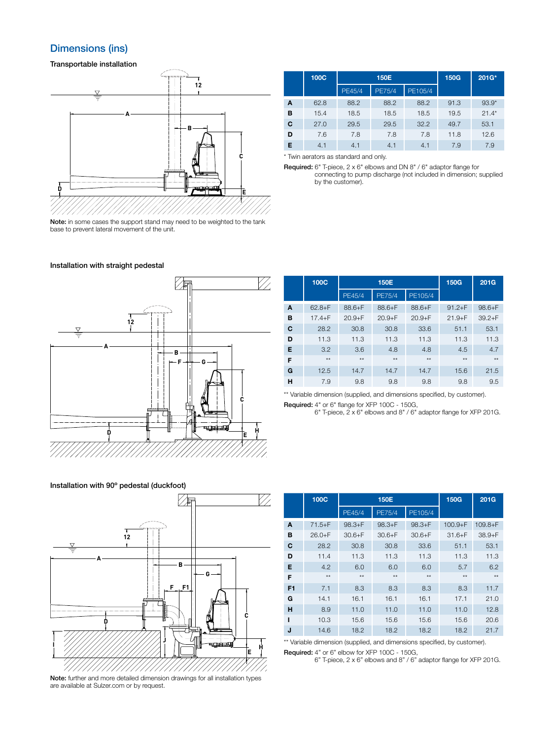# **Dimensions (ins)**

Transportable installation



|   | 100C |        | 150E          | <b>150G</b> | 201G* |         |
|---|------|--------|---------------|-------------|-------|---------|
|   |      | PE45/4 | <b>PE75/4</b> | PE105/4     |       |         |
| A | 62.8 | 88.2   | 88.2          | 88.2        | 91.3  | $93.9*$ |
| B | 15.4 | 18.5   | 18.5          | 18.5        | 19.5  | $21.4*$ |
| C | 27.0 | 29.5   | 29.5          | 32.2        | 49.7  | 53.1    |
| D | 7.6  | 7.8    | 7.8           | 7.8         | 11.8  | 12.6    |
| Е | 4.1  | 4.1    | 4.1           | 4.1         | 79    | 79      |

\* Twin aerators as standard and only.

Required: 6" T-piece, 2 x 6" elbows and DN 8" / 6" adaptor flange for connecting to pump discharge (not included in dimension; supplied by the customer).

base to prevent lateral movement of the unit.

#### Installation with straight pedestal



|   | <b>100C</b> |            | <b>150E</b>   | <b>150G</b> | 201G       |            |
|---|-------------|------------|---------------|-------------|------------|------------|
|   |             | PE45/4     | <b>PE75/4</b> | PE105/4     |            |            |
| A | $62.8 + F$  | $88.6 + F$ | $88.6 + F$    | $88.6 + F$  | $91.2 + F$ | $98.6 + F$ |
| в | $17.4 + F$  | $20.9 + F$ | $20.9 + F$    | $20.9 + F$  | $21.9 + F$ | $39.2 + F$ |
| C | 28.2        | 30.8       | 30.8          | 33.6        | 51.1       | 53.1       |
| D | 11.3        | 11.3       | 11.3          | 11.3        | 11.3       | 11.3       |
| Е | 3.2         | 3.6        | 4.8           | 4.8         | 4.5        | 4.7        |
| F | $**$        | $**$       | $**$          | $**$        | $**$       | $**$       |
| G | 12.5        | 14.7       | 14.7          | 14.7        | 15.6       | 21.5       |
| н | 7.9         | 9.8        | 9.8           | 9.8         | 9.8        | 9.5        |

\*\* Variable dimension (supplied, and dimensions specified, by customer). Required: 4" or 6" flange for XFP 100C - 150G,

6" T-piece, 2 x 6" elbows and 8" / 6" adaptor flange for XFP 201G.



Note: further and more detailed dimension drawings for all installation types are available at Sulzer.com or by request.

|                | <b>100C</b> | <b>150E</b> |               | <b>150G</b> | 201G        |              |
|----------------|-------------|-------------|---------------|-------------|-------------|--------------|
|                |             | PE45/4      | <b>PE75/4</b> | PE105/4     |             |              |
| A              | $71.5 + F$  | $98.3 + F$  | $98.3 + F$    | $98.3 + F$  | $100.9 + F$ | $109.8 + F$  |
| в              | $26.0 + F$  | $30.6 + F$  | $30.6 + F$    | $30.6 + F$  | $31.6 + F$  | $38.9 + F$   |
| C              | 28.2        | 30.8        | 30.8          | 33.6        | 51.1        | 53.1         |
| D              | 11.4        | 11.3        | 11.3          | 11.3        | 11.3        | 11.3         |
| Е              | 4.2         | 6.0         | 6.0           | 6.0         | 5.7         | 6.2          |
| F              | $**$        | $**$        | $**$          | $**$        | $**$        | $\star\star$ |
| F <sub>1</sub> | 7.1         | 8.3         | 8.3           | 8.3         | 8.3         | 11.7         |
| G              | 14.1        | 16.1        | 16.1          | 16.1        | 17.1        | 21.0         |
| н              | 8.9         | 11.0        | 11.0          | 11.0        | 11.0        | 12.8         |
| ı              | 10.3        | 15.6        | 15.6          | 15.6        | 15.6        | 20.6         |
| J              | 14.6        | 18.2        | 18.2          | 18.2        | 18.2        | 21.7         |

\*\* Variable dimension (supplied, and dimensions specified, by customer). Required: 4" or 6" elbow for XFP 100C - 150G,

6" T-piece, 2 x 6" elbows and 8" / 6" adaptor flange for XFP 201G.